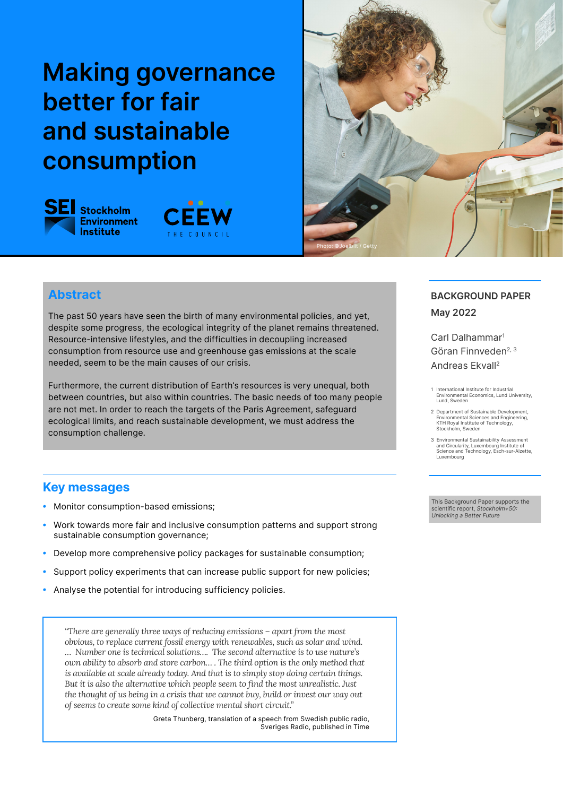# **Making governance better for fair and sustainable consumption**







## **Abstract**

The past 50 years have seen the birth of many environmental policies, and yet, despite some progress, the ecological integrity of the planet remains threatened. Resource-intensive lifestyles, and the difficulties in decoupling increased consumption from resource use and greenhouse gas emissions at the scale needed, seem to be the main causes of our crisis.

Furthermore, the current distribution of Earth's resources is very unequal, both between countries, but also within countries. The basic needs of too many people are not met. In order to reach the targets of the Paris Agreement, safeguard ecological limits, and reach sustainable development, we must address the consumption challenge.

# **Key messages**

- *•* Monitor consumption-based emissions;
- *•* Work towards more fair and inclusive consumption patterns and support strong sustainable consumption governance;
- *•* Develop more comprehensive policy packages for sustainable consumption;
- Support policy experiments that can increase public support for new policies;
- *•* Analyse the potential for introducing sufficiency policies.

*"There are generally three ways of reducing emissions – apart from the most obvious, to replace current fossil energy with renewables, such as solar and wind. … Number one is technical solutions…. The second alternative is to use nature's own ability to absorb and store carbon… . The third option is the only method that is available at scale already today. And that is to simply stop doing certain things. But it is also the alternative which people seem to find the most unrealistic. Just the thought of us being in a crisis that we cannot buy, build or invest our way out of seems to create some kind of collective mental short circuit."*

> Greta Thunberg, translation of a speech from Swedish public radio, Sveriges Radio, published in Time

#### **BACKGROUND PAPER May 2022**

Carl Dalhammar1 Göran Finnveden<sup>2, 3</sup> Andreas Ekvall2

- 1 International Institute for Industrial Environmental Economics, Lund University, Lund, Sweden
- 2 Department of Sustainable Development, Environmental Sciences and Engineering, KTH Royal Institute of Technology, Stockholm, Sweden
- 3 Environmental Sustainability Assessment and Circularity, Luxembourg Institute of Science and Technology, Esch-sur-Alzette, **Luxembourg**

This Background Paper supports the scientific report, *Stockholm+50: Unlocking a Better Future*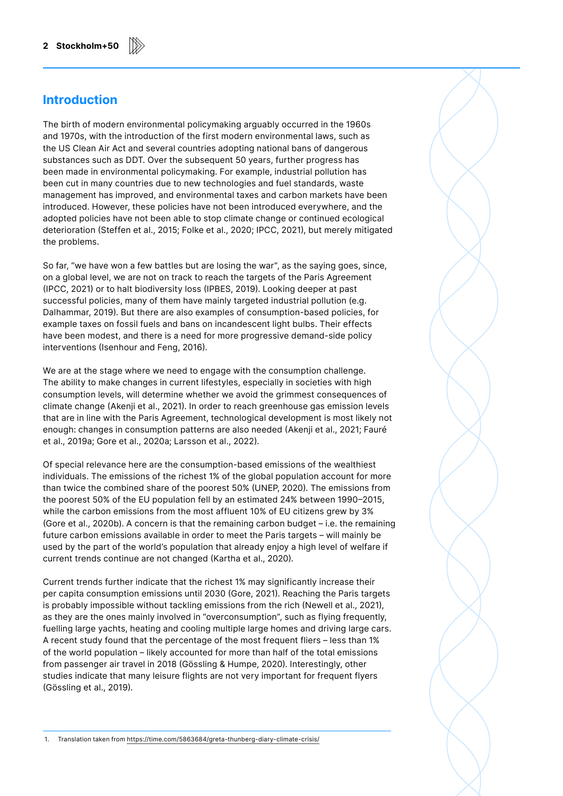#### **Introduction**

The birth of modern environmental policymaking arguably occurred in the 1960s and 1970s, with the introduction of the first modern environmental laws, such as the US Clean Air Act and several countries adopting national bans of dangerous substances such as DDT. Over the subsequent 50 years, further progress has been made in environmental policymaking. For example, industrial pollution has been cut in many countries due to new technologies and fuel standards, waste management has improved, and environmental taxes and carbon markets have been introduced. However, these policies have not been introduced everywhere, and the adopted policies have not been able to stop climate change or continued ecological deterioration (Steffen et al., 2015; Folke et al., 2020; IPCC, 2021), but merely mitigated the problems.

So far, "we have won a few battles but are losing the war", as the saying goes, since, on a global level, we are not on track to reach the targets of the Paris Agreement (IPCC, 2021) or to halt biodiversity loss (IPBES, 2019). Looking deeper at past successful policies, many of them have mainly targeted industrial pollution (e.g. Dalhammar, 2019). But there are also examples of consumption-based policies, for example taxes on fossil fuels and bans on incandescent light bulbs. Their effects have been modest, and there is a need for more progressive demand-side policy interventions (Isenhour and Feng, 2016).

We are at the stage where we need to engage with the consumption challenge. The ability to make changes in current lifestyles, especially in societies with high consumption levels, will determine whether we avoid the grimmest consequences of climate change (Akenji et al., 2021). In order to reach greenhouse gas emission levels that are in line with the Paris Agreement, technological development is most likely not enough: changes in consumption patterns are also needed (Akenji et al., 2021; Fauré et al., 2019a; Gore et al., 2020a; Larsson et al., 2022).

Of special relevance here are the consumption-based emissions of the wealthiest individuals. The emissions of the richest 1% of the global population account for more than twice the combined share of the poorest 50% (UNEP, 2020). The emissions from the poorest 50% of the EU population fell by an estimated 24% between 1990–2015, while the carbon emissions from the most affluent 10% of EU citizens grew by 3% (Gore et al., 2020b). A concern is that the remaining carbon budget – i.e. the remaining future carbon emissions available in order to meet the Paris targets – will mainly be used by the part of the world's population that already enjoy a high level of welfare if current trends continue are not changed (Kartha et al., 2020).

Current trends further indicate that the richest 1% may significantly increase their per capita consumption emissions until 2030 (Gore, 2021). Reaching the Paris targets is probably impossible without tackling emissions from the rich (Newell et al., 2021), as they are the ones mainly involved in "overconsumption", such as flying frequently, fuelling large yachts, heating and cooling multiple large homes and driving large cars. A recent study found that the percentage of the most frequent fliers – less than 1% of the world population – likely accounted for more than half of the total emissions from passenger air travel in 2018 (Gössling & Humpe, 2020). Interestingly, other studies indicate that many leisure flights are not very important for frequent flyers (Gössling et al., 2019).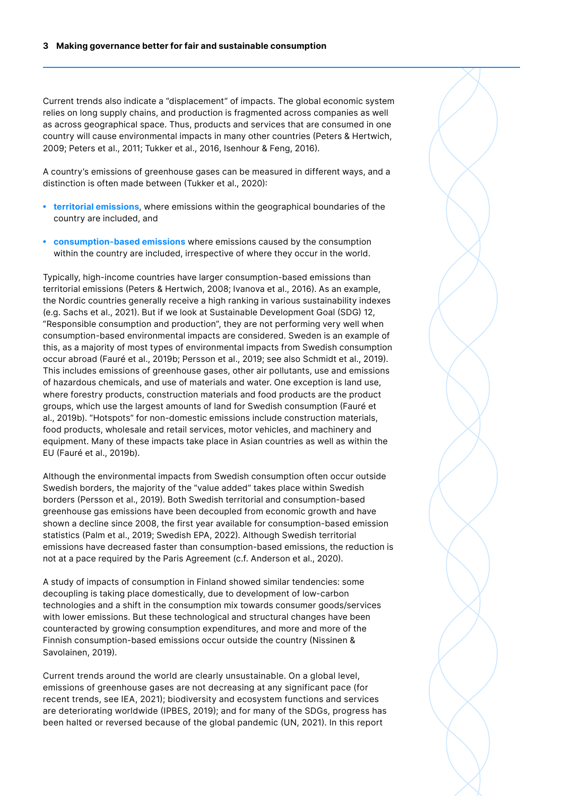Current trends also indicate a "displacement" of impacts. The global economic system relies on long supply chains, and production is fragmented across companies as well as across geographical space. Thus, products and services that are consumed in one country will cause environmental impacts in many other countries (Peters & Hertwich, 2009; Peters et al., 2011; Tukker et al., 2016, Isenhour & Feng, 2016).

A country's emissions of greenhouse gases can be measured in different ways, and a distinction is often made between (Tukker et al., 2020):

- *•* **territorial emissions**, where emissions within the geographical boundaries of the country are included, and
- *•* **consumption-based emissions** where emissions caused by the consumption within the country are included, irrespective of where they occur in the world.

Typically, high-income countries have larger consumption-based emissions than territorial emissions (Peters & Hertwich, 2008; Ivanova et al., 2016). As an example, the Nordic countries generally receive a high ranking in various sustainability indexes (e.g. Sachs et al., 2021). But if we look at Sustainable Development Goal (SDG) 12, "Responsible consumption and production", they are not performing very well when consumption-based environmental impacts are considered. Sweden is an example of this, as a majority of most types of environmental impacts from Swedish consumption occur abroad (Fauré et al., 2019b; Persson et al., 2019; see also Schmidt et al., 2019). This includes emissions of greenhouse gases, other air pollutants, use and emissions of hazardous chemicals, and use of materials and water. One exception is land use, where forestry products, construction materials and food products are the product groups, which use the largest amounts of land for Swedish consumption (Fauré et al., 2019b). "Hotspots" for non-domestic emissions include construction materials, food products, wholesale and retail services, motor vehicles, and machinery and equipment. Many of these impacts take place in Asian countries as well as within the EU (Fauré et al., 2019b).

Although the environmental impacts from Swedish consumption often occur outside Swedish borders, the majority of the "value added" takes place within Swedish borders (Persson et al., 2019). Both Swedish territorial and consumption-based greenhouse gas emissions have been decoupled from economic growth and have shown a decline since 2008, the first year available for consumption-based emission statistics (Palm et al., 2019; Swedish EPA, 2022). Although Swedish territorial emissions have decreased faster than consumption-based emissions, the reduction is not at a pace required by the Paris Agreement (c.f. Anderson et al., 2020).

A study of impacts of consumption in Finland showed similar tendencies: some decoupling is taking place domestically, due to development of low-carbon technologies and a shift in the consumption mix towards consumer goods/services with lower emissions. But these technological and structural changes have been counteracted by growing consumption expenditures, and more and more of the Finnish consumption-based emissions occur outside the country (Nissinen & Savolainen, 2019).

Current trends around the world are clearly unsustainable. On a global level, emissions of greenhouse gases are not decreasing at any significant pace (for recent trends, see IEA, 2021); biodiversity and ecosystem functions and services are deteriorating worldwide (IPBES, 2019); and for many of the SDGs, progress has been halted or reversed because of the global pandemic (UN, 2021). In this report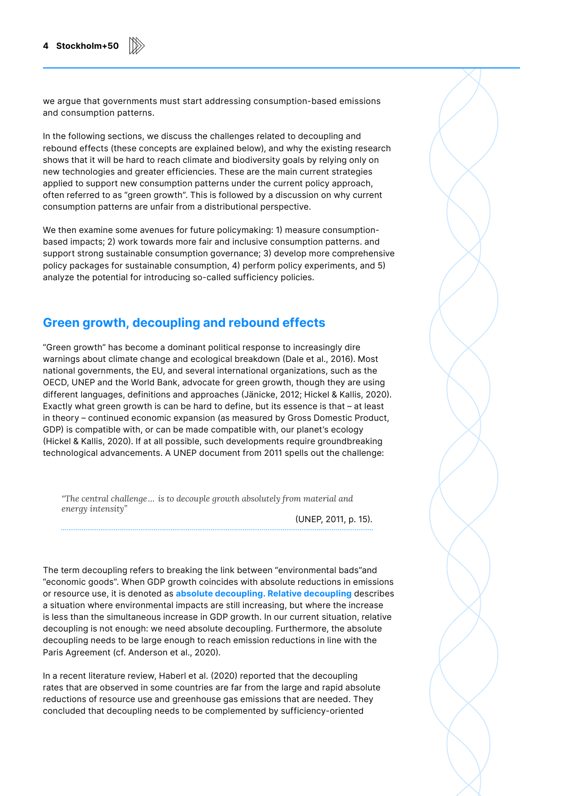we argue that governments must start addressing consumption-based emissions and consumption patterns.

In the following sections, we discuss the challenges related to decoupling and rebound effects (these concepts are explained below), and why the existing research shows that it will be hard to reach climate and biodiversity goals by relying only on new technologies and greater efficiencies. These are the main current strategies applied to support new consumption patterns under the current policy approach, often referred to as "green growth". This is followed by a discussion on why current consumption patterns are unfair from a distributional perspective.

We then examine some avenues for future policymaking: 1) measure consumptionbased impacts; 2) work towards more fair and inclusive consumption patterns. and support strong sustainable consumption governance; 3) develop more comprehensive policy packages for sustainable consumption, 4) perform policy experiments, and 5) analyze the potential for introducing so-called sufficiency policies.

#### **Green growth, decoupling and rebound effects**

"Green growth" has become a dominant political response to increasingly dire warnings about climate change and ecological breakdown (Dale et al., 2016). Most national governments, the EU, and several international organizations, such as the OECD, UNEP and the World Bank, advocate for green growth, though they are using different languages, definitions and approaches (Jänicke, 2012; Hickel & Kallis, 2020). Exactly what green growth is can be hard to define, but its essence is that – at least in theory – continued economic expansion (as measured by Gross Domestic Product, GDP) is compatible with, or can be made compatible with, our planet's ecology (Hickel & Kallis, 2020). If at all possible, such developments require groundbreaking technological advancements. A UNEP document from 2011 spells out the challenge:

*"The central challenge… is to decouple growth absolutely from material and energy intensity"* 

(UNEP, 2011, p. 15).

The term decoupling refers to breaking the link between "environmental bads"and "economic goods". When GDP growth coincides with absolute reductions in emissions or resource use, it is denoted as **absolute decoupling. Relative decoupling** describes a situation where environmental impacts are still increasing, but where the increase is less than the simultaneous increase in GDP growth. In our current situation, relative decoupling is not enough: we need absolute decoupling. Furthermore, the absolute decoupling needs to be large enough to reach emission reductions in line with the Paris Agreement (cf. Anderson et al., 2020).

In a recent literature review, Haberl et al. (2020) reported that the decoupling rates that are observed in some countries are far from the large and rapid absolute reductions of resource use and greenhouse gas emissions that are needed. They concluded that decoupling needs to be complemented by sufficiency-oriented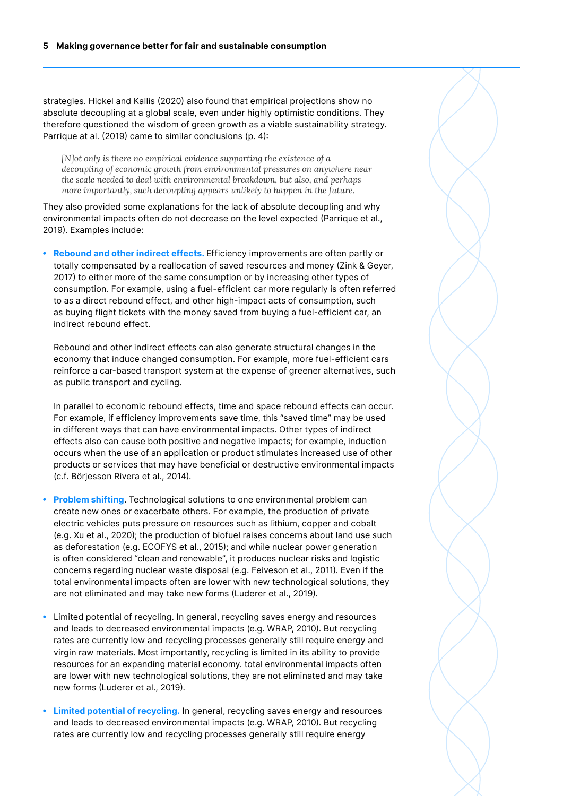strategies. Hickel and Kallis (2020) also found that empirical projections show no absolute decoupling at a global scale, even under highly optimistic conditions. They therefore questioned the wisdom of green growth as a viable sustainability strategy. Parrique at al. (2019) came to similar conclusions (p. 4):

*[N]ot only is there no empirical evidence supporting the existence of a decoupling of economic growth from environmental pressures on anywhere near the scale needed to deal with environmental breakdown, but also, and perhaps more importantly, such decoupling appears unlikely to happen in the future.*

They also provided some explanations for the lack of absolute decoupling and why environmental impacts often do not decrease on the level expected (Parrique et al., 2019). Examples include:

*•* **Rebound and other indirect effects.** Efficiency improvements are often partly or totally compensated by a reallocation of saved resources and money (Zink & Geyer, 2017) to either more of the same consumption or by increasing other types of consumption. For example, using a fuel-efficient car more regularly is often referred to as a direct rebound effect, and other high-impact acts of consumption, such as buying flight tickets with the money saved from buying a fuel-efficient car, an indirect rebound effect.

Rebound and other indirect effects can also generate structural changes in the economy that induce changed consumption. For example, more fuel-efficient cars reinforce a car-based transport system at the expense of greener alternatives, such as public transport and cycling.

In parallel to economic rebound effects, time and space rebound effects can occur. For example, if efficiency improvements save time, this "saved time" may be used in different ways that can have environmental impacts. Other types of indirect effects also can cause both positive and negative impacts; for example, induction occurs when the use of an application or product stimulates increased use of other products or services that may have beneficial or destructive environmental impacts (c.f. Börjesson Rivera et al., 2014).

- *•* **Problem shifting**. Technological solutions to one environmental problem can create new ones or exacerbate others. For example, the production of private electric vehicles puts pressure on resources such as lithium, copper and cobalt (e.g. Xu et al., 2020); the production of biofuel raises concerns about land use such as deforestation (e.g. ECOFYS et al., 2015); and while nuclear power generation is often considered "clean and renewable", it produces nuclear risks and logistic concerns regarding nuclear waste disposal (e.g. Feiveson et al., 2011). Even if the total environmental impacts often are lower with new technological solutions, they are not eliminated and may take new forms (Luderer et al., 2019).
- *•* Limited potential of recycling. In general, recycling saves energy and resources and leads to decreased environmental impacts (e.g. WRAP, 2010). But recycling rates are currently low and recycling processes generally still require energy and virgin raw materials. Most importantly, recycling is limited in its ability to provide resources for an expanding material economy. total environmental impacts often are lower with new technological solutions, they are not eliminated and may take new forms (Luderer et al., 2019).
- *•* **Limited potential of recycling.** In general, recycling saves energy and resources and leads to decreased environmental impacts (e.g. WRAP, 2010). But recycling rates are currently low and recycling processes generally still require energy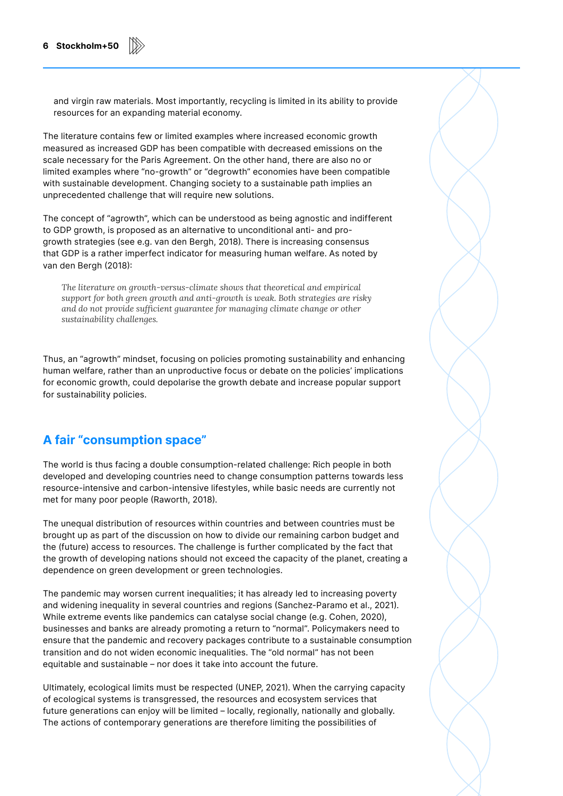and virgin raw materials. Most importantly, recycling is limited in its ability to provide resources for an expanding material economy.

The literature contains few or limited examples where increased economic growth measured as increased GDP has been compatible with decreased emissions on the scale necessary for the Paris Agreement. On the other hand, there are also no or limited examples where "no-growth" or "degrowth" economies have been compatible with sustainable development. Changing society to a sustainable path implies an unprecedented challenge that will require new solutions.

The concept of "agrowth", which can be understood as being agnostic and indifferent to GDP growth, is proposed as an alternative to unconditional anti- and progrowth strategies (see e.g. van den Bergh, 2018). There is increasing consensus that GDP is a rather imperfect indicator for measuring human welfare. As noted by van den Bergh (2018):

*The literature on growth-versus-climate shows that theoretical and empirical support for both green growth and anti-growth is weak. Both strategies are risky and do not provide sufficient guarantee for managing climate change or other sustainability challenges.*

Thus, an "agrowth" mindset, focusing on policies promoting sustainability and enhancing human welfare, rather than an unproductive focus or debate on the policies' implications for economic growth, could depolarise the growth debate and increase popular support for sustainability policies.

#### **A fair "consumption space"**

The world is thus facing a double consumption-related challenge: Rich people in both developed and developing countries need to change consumption patterns towards less resource-intensive and carbon-intensive lifestyles, while basic needs are currently not met for many poor people (Raworth, 2018).

The unequal distribution of resources within countries and between countries must be brought up as part of the discussion on how to divide our remaining carbon budget and the (future) access to resources. The challenge is further complicated by the fact that the growth of developing nations should not exceed the capacity of the planet, creating a dependence on green development or green technologies.

The pandemic may worsen current inequalities; it has already led to increasing poverty and widening inequality in several countries and regions (Sanchez-Paramo et al., 2021). While extreme events like pandemics can catalyse social change (e.g. Cohen, 2020), businesses and banks are already promoting a return to "normal". Policymakers need to ensure that the pandemic and recovery packages contribute to a sustainable consumption transition and do not widen economic inequalities. The "old normal" has not been equitable and sustainable – nor does it take into account the future.

Ultimately, ecological limits must be respected (UNEP, 2021). When the carrying capacity of ecological systems is transgressed, the resources and ecosystem services that future generations can enjoy will be limited – locally, regionally, nationally and globally. The actions of contemporary generations are therefore limiting the possibilities of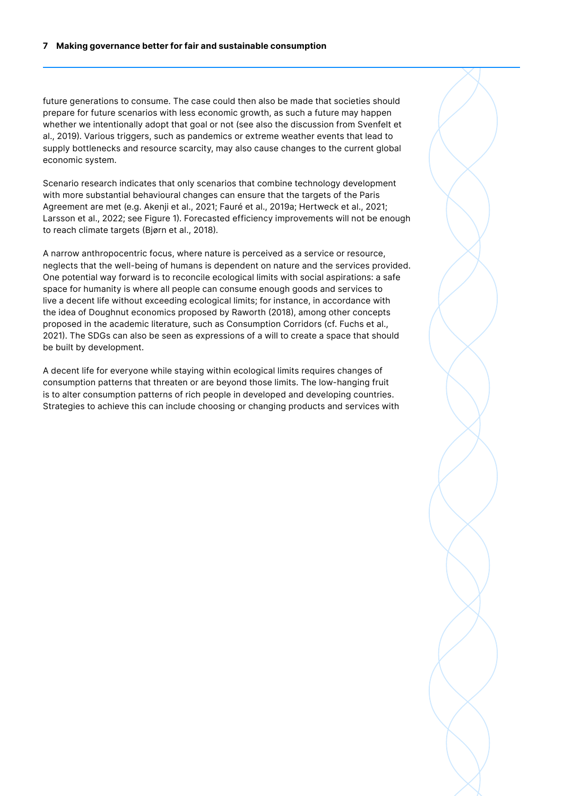future generations to consume. The case could then also be made that societies should prepare for future scenarios with less economic growth, as such a future may happen whether we intentionally adopt that goal or not (see also the discussion from Svenfelt et al., 2019). Various triggers, such as pandemics or extreme weather events that lead to supply bottlenecks and resource scarcity, may also cause changes to the current global economic system.

Scenario research indicates that only scenarios that combine technology development with more substantial behavioural changes can ensure that the targets of the Paris Agreement are met (e.g. Akenji et al., 2021; Fauré et al., 2019a; Hertweck et al., 2021; Larsson et al., 2022; see Figure 1). Forecasted efficiency improvements will not be enough to reach climate targets (Bjørn et al., 2018).

A narrow anthropocentric focus, where nature is perceived as a service or resource, neglects that the well-being of humans is dependent on nature and the services provided. One potential way forward is to reconcile ecological limits with social aspirations: a safe space for humanity is where all people can consume enough goods and services to live a decent life without exceeding ecological limits; for instance, in accordance with the idea of Doughnut economics proposed by Raworth (2018), among other concepts proposed in the academic literature, such as Consumption Corridors (cf. Fuchs et al., 2021). The SDGs can also be seen as expressions of a will to create a space that should be built by development.

A decent life for everyone while staying within ecological limits requires changes of consumption patterns that threaten or are beyond those limits. The low-hanging fruit is to alter consumption patterns of rich people in developed and developing countries. Strategies to achieve this can include choosing or changing products and services with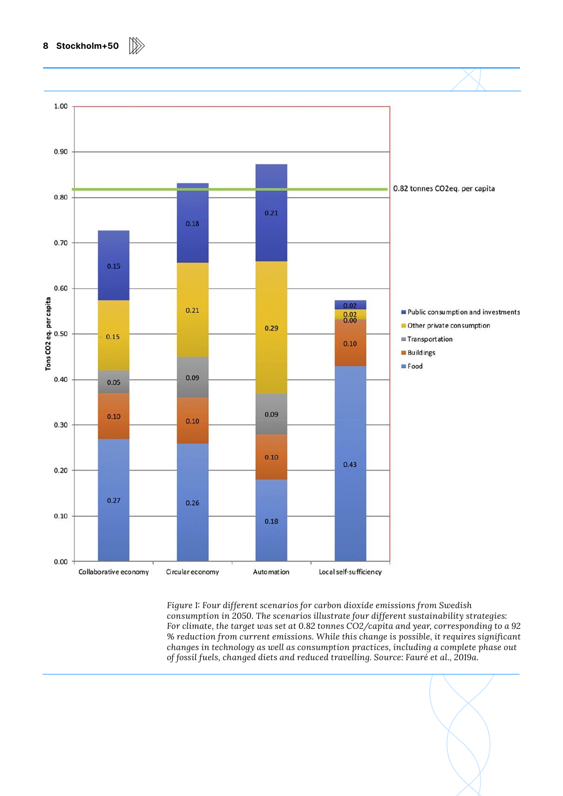

*Figure 1: Four different scenarios for carbon dioxide emissions from Swedish consumption in 2050. The scenarios illustrate four different sustainability strategies: For climate, the target was set at 0.82 tonnes CO2/capita and year, corresponding to a 92 % reduction from current emissions. While this change is possible, it requires significant changes in technology as well as consumption practices, including a complete phase out of fossil fuels, changed diets and reduced travelling. Source: Fauré et al., 2019a.*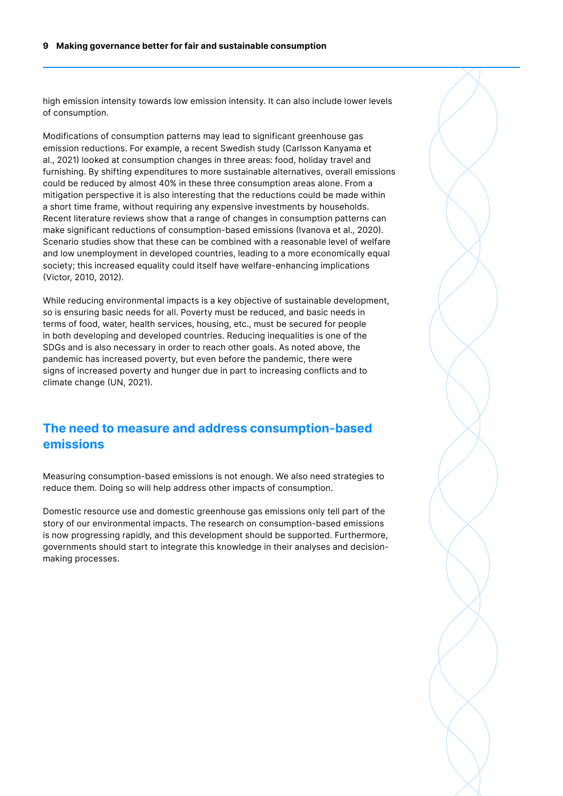high emission intensity towards low emission intensity. It can also include lower levels of consumption.

Modifications of consumption patterns may lead to significant greenhouse gas emission reductions. For example, a recent Swedish study (Carlsson Kanyama et al., 2021) looked at consumption changes in three areas: food, holiday travel and furnishing. By shifting expenditures to more sustainable alternatives, overall emissions could be reduced by almost 40% in these three consumption areas alone. From a mitigation perspective it is also interesting that the reductions could be made within a short time frame, without requiring any expensive investments by households. Recent literature reviews show that a range of changes in consumption patterns can make significant reductions of consumption-based emissions (Ivanova et al., 2020). Scenario studies show that these can be combined with a reasonable level of welfare and low unemployment in developed countries, leading to a more economically equal society; this increased equality could itself have welfare-enhancing implications (Victor, 2010, 2012).

While reducing environmental impacts is a key objective of sustainable development, so is ensuring basic needs for all. Poverty must be reduced, and basic needs in terms of food, water, health services, housing, etc., must be secured for people in both developing and developed countries. Reducing inequalities is one of the SDGs and is also necessary in order to reach other goals. As noted above, the pandemic has increased poverty, but even before the pandemic, there were signs of increased poverty and hunger due in part to increasing conflicts and to climate change (UN, 2021).

#### **The need to measure and address consumption-based emissions**

Measuring consumption-based emissions is not enough. We also need strategies to reduce them. Doing so will help address other impacts of consumption.

Domestic resource use and domestic greenhouse gas emissions only tell part of the story of our environmental impacts. The research on consumption-based emissions is now progressing rapidly, and this development should be supported. Furthermore, governments should start to integrate this knowledge in their analyses and decisionmaking processes.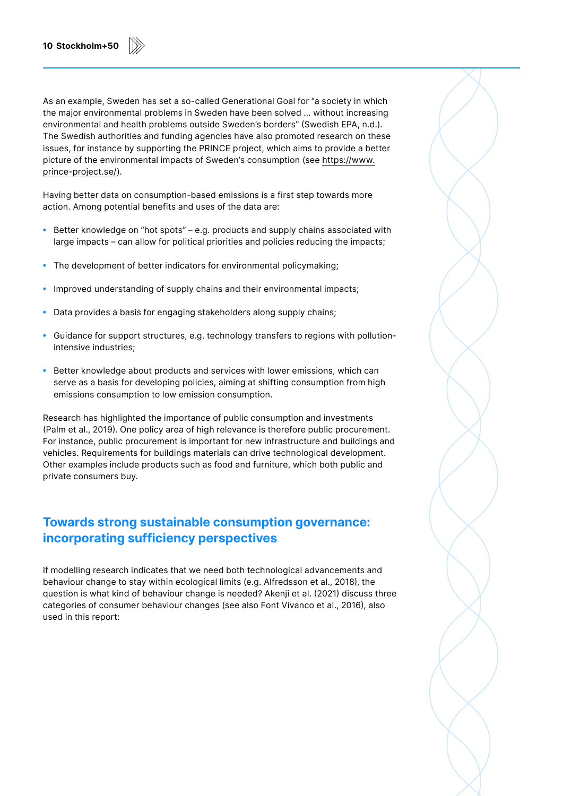As an example, Sweden has set a so-called Generational Goal for "a society in which the major environmental problems in Sweden have been solved … without increasing environmental and health problems outside Sweden's borders" (Swedish EPA, n.d.). The Swedish authorities and funding agencies have also promoted research on these issues, for instance by supporting the PRINCE project, which aims to provide a better picture of the environmental impacts of Sweden's consumption (see [https://www.](https://www.prince-project.se/) [prince-project.se/\)](https://www.prince-project.se/).

Having better data on consumption-based emissions is a first step towards more action. Among potential benefits and uses of the data are:

- *•* Better knowledge on "hot spots" e.g. products and supply chains associated with large impacts – can allow for political priorities and policies reducing the impacts;
- *•* The development of better indicators for environmental policymaking;
- *•* Improved understanding of supply chains and their environmental impacts;
- *•* Data provides a basis for engaging stakeholders along supply chains;
- *•* Guidance for support structures, e.g. technology transfers to regions with pollutionintensive industries;
- *•* Better knowledge about products and services with lower emissions, which can serve as a basis for developing policies, aiming at shifting consumption from high emissions consumption to low emission consumption.

Research has highlighted the importance of public consumption and investments (Palm et al., 2019). One policy area of high relevance is therefore public procurement. For instance, public procurement is important for new infrastructure and buildings and vehicles. Requirements for buildings materials can drive technological development. Other examples include products such as food and furniture, which both public and private consumers buy.

#### **Towards strong sustainable consumption governance: incorporating sufficiency perspectives**

If modelling research indicates that we need both technological advancements and behaviour change to stay within ecological limits (e.g. Alfredsson et al., 2018), the question is what kind of behaviour change is needed? Akenji et al. (2021) discuss three categories of consumer behaviour changes (see also Font Vivanco et al., 2016), also used in this report: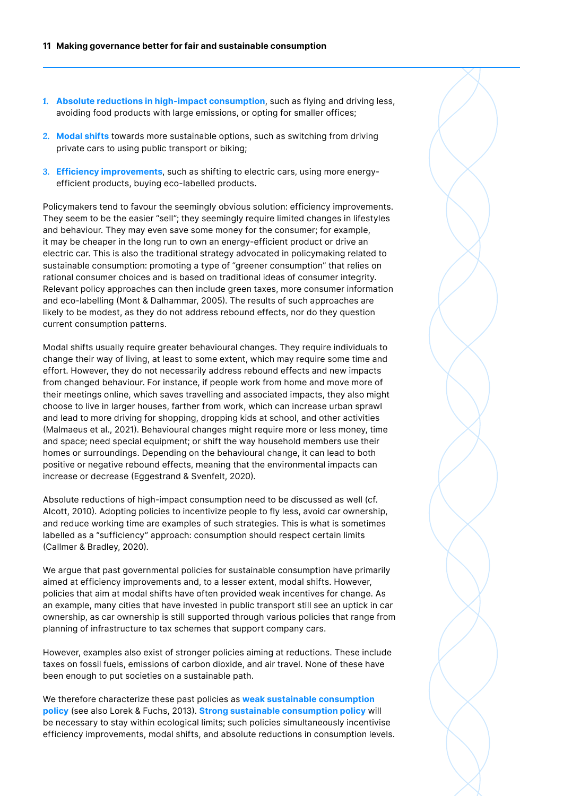- *1.* **Absolute reductions in high-impact consumption**, such as flying and driving less, avoiding food products with large emissions, or opting for smaller offices;
- *2.* **Modal shifts** towards more sustainable options, such as switching from driving private cars to using public transport or biking;
- *3.* **Efficiency improvements**, such as shifting to electric cars, using more energyefficient products, buying eco-labelled products.

Policymakers tend to favour the seemingly obvious solution: efficiency improvements. They seem to be the easier "sell"; they seemingly require limited changes in lifestyles and behaviour. They may even save some money for the consumer; for example, it may be cheaper in the long run to own an energy-efficient product or drive an electric car. This is also the traditional strategy advocated in policymaking related to sustainable consumption: promoting a type of "greener consumption" that relies on rational consumer choices and is based on traditional ideas of consumer integrity. Relevant policy approaches can then include green taxes, more consumer information and eco-labelling (Mont & Dalhammar, 2005). The results of such approaches are likely to be modest, as they do not address rebound effects, nor do they question current consumption patterns.

Modal shifts usually require greater behavioural changes. They require individuals to change their way of living, at least to some extent, which may require some time and effort. However, they do not necessarily address rebound effects and new impacts from changed behaviour. For instance, if people work from home and move more of their meetings online, which saves travelling and associated impacts, they also might choose to live in larger houses, farther from work, which can increase urban sprawl and lead to more driving for shopping, dropping kids at school, and other activities (Malmaeus et al., 2021). Behavioural changes might require more or less money, time and space; need special equipment; or shift the way household members use their homes or surroundings. Depending on the behavioural change, it can lead to both positive or negative rebound effects, meaning that the environmental impacts can increase or decrease (Eggestrand & Svenfelt, 2020).

Absolute reductions of high-impact consumption need to be discussed as well (cf. Alcott, 2010). Adopting policies to incentivize people to fly less, avoid car ownership, and reduce working time are examples of such strategies. This is what is sometimes labelled as a "sufficiency" approach: consumption should respect certain limits (Callmer & Bradley, 2020).

We argue that past governmental policies for sustainable consumption have primarily aimed at efficiency improvements and, to a lesser extent, modal shifts. However, policies that aim at modal shifts have often provided weak incentives for change. As an example, many cities that have invested in public transport still see an uptick in car ownership, as car ownership is still supported through various policies that range from planning of infrastructure to tax schemes that support company cars.

However, examples also exist of stronger policies aiming at reductions. These include taxes on fossil fuels, emissions of carbon dioxide, and air travel. None of these have been enough to put societies on a sustainable path.

We therefore characterize these past policies as **weak sustainable consumption policy** (see also Lorek & Fuchs, 2013). **Strong sustainable consumption policy** will be necessary to stay within ecological limits; such policies simultaneously incentivise efficiency improvements, modal shifts, and absolute reductions in consumption levels.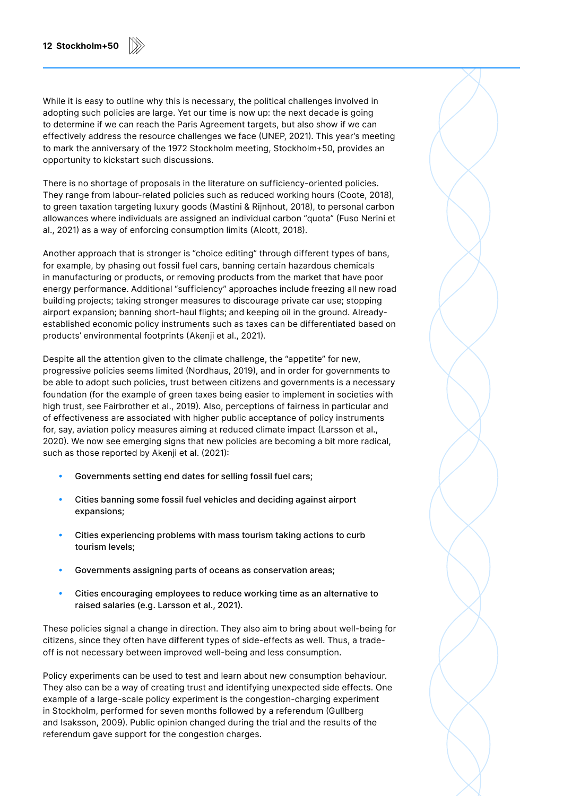While it is easy to outline why this is necessary, the political challenges involved in adopting such policies are large. Yet our time is now up: the next decade is going to determine if we can reach the Paris Agreement targets, but also show if we can effectively address the resource challenges we face (UNEP, 2021). This year's meeting to mark the anniversary of the 1972 Stockholm meeting, Stockholm+50, provides an opportunity to kickstart such discussions.

There is no shortage of proposals in the literature on sufficiency-oriented policies. They range from labour-related policies such as reduced working hours (Coote, 2018), to green taxation targeting luxury goods (Mastini & Rijnhout, 2018), to personal carbon allowances where individuals are assigned an individual carbon "quota" (Fuso Nerini et al., 2021) as a way of enforcing consumption limits (Alcott, 2018).

Another approach that is stronger is "choice editing" through different types of bans, for example, by phasing out fossil fuel cars, banning certain hazardous chemicals in manufacturing or products, or removing products from the market that have poor energy performance. Additional "sufficiency" approaches include freezing all new road building projects; taking stronger measures to discourage private car use; stopping airport expansion; banning short-haul flights; and keeping oil in the ground. Alreadyestablished economic policy instruments such as taxes can be differentiated based on products' environmental footprints (Akenji et al., 2021).

Despite all the attention given to the climate challenge, the "appetite" for new, progressive policies seems limited (Nordhaus, 2019), and in order for governments to be able to adopt such policies, trust between citizens and governments is a necessary foundation (for the example of green taxes being easier to implement in societies with high trust, see Fairbrother et al., 2019). Also, perceptions of fairness in particular and of effectiveness are associated with higher public acceptance of policy instruments for, say, aviation policy measures aiming at reduced climate impact (Larsson et al., 2020). We now see emerging signs that new policies are becoming a bit more radical, such as those reported by Akenji et al. (2021):

- *•* Governments setting end dates for selling fossil fuel cars;
- *•* Cities banning some fossil fuel vehicles and deciding against airport expansions;
- *•* Cities experiencing problems with mass tourism taking actions to curb tourism levels;
- *•* Governments assigning parts of oceans as conservation areas;
- *•* Cities encouraging employees to reduce working time as an alternative to raised salaries (e.g. Larsson et al., 2021).

These policies signal a change in direction. They also aim to bring about well-being for citizens, since they often have different types of side-effects as well. Thus, a tradeoff is not necessary between improved well-being and less consumption.

Policy experiments can be used to test and learn about new consumption behaviour. They also can be a way of creating trust and identifying unexpected side effects. One example of a large-scale policy experiment is the congestion-charging experiment in Stockholm, performed for seven months followed by a referendum (Gullberg and Isaksson, 2009). Public opinion changed during the trial and the results of the referendum gave support for the congestion charges.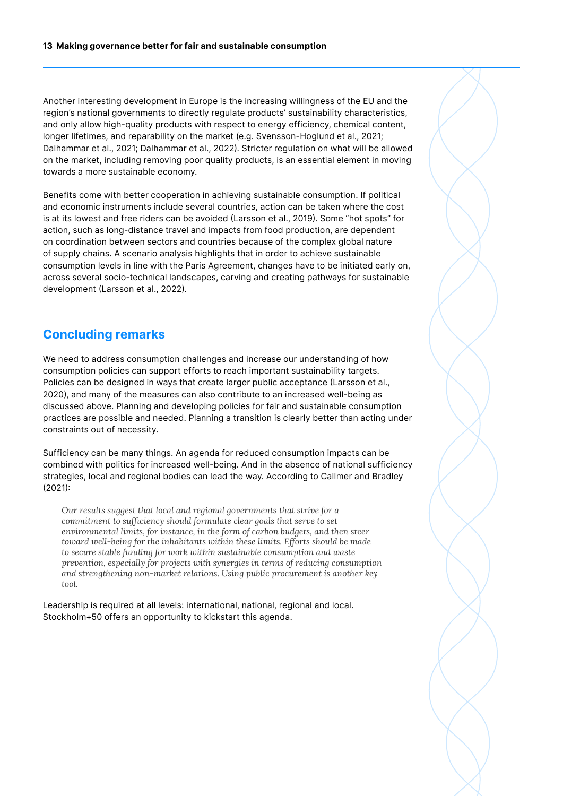Another interesting development in Europe is the increasing willingness of the EU and the region's national governments to directly regulate products' sustainability characteristics, and only allow high-quality products with respect to energy efficiency, chemical content, longer lifetimes, and reparability on the market (e.g. Svensson-Hoglund et al., 2021; Dalhammar et al., 2021; Dalhammar et al., 2022). Stricter regulation on what will be allowed on the market, including removing poor quality products, is an essential element in moving towards a more sustainable economy.

Benefits come with better cooperation in achieving sustainable consumption. If political and economic instruments include several countries, action can be taken where the cost is at its lowest and free riders can be avoided (Larsson et al., 2019). Some "hot spots" for action, such as long-distance travel and impacts from food production, are dependent on coordination between sectors and countries because of the complex global nature of supply chains. A scenario analysis highlights that in order to achieve sustainable consumption levels in line with the Paris Agreement, changes have to be initiated early on, across several socio-technical landscapes, carving and creating pathways for sustainable development (Larsson et al., 2022).

#### **Concluding remarks**

We need to address consumption challenges and increase our understanding of how consumption policies can support efforts to reach important sustainability targets. Policies can be designed in ways that create larger public acceptance (Larsson et al., 2020), and many of the measures can also contribute to an increased well-being as discussed above. Planning and developing policies for fair and sustainable consumption practices are possible and needed. Planning a transition is clearly better than acting under constraints out of necessity.

Sufficiency can be many things. An agenda for reduced consumption impacts can be combined with politics for increased well-being. And in the absence of national sufficiency strategies, local and regional bodies can lead the way. According to Callmer and Bradley (2021):

*Our results suggest that local and regional governments that strive for a commitment to sufficiency should formulate clear goals that serve to set environmental limits, for instance, in the form of carbon budgets, and then steer toward well-being for the inhabitants within these limits. Efforts should be made to secure stable funding for work within sustainable consumption and waste prevention, especially for projects with synergies in terms of reducing consumption and strengthening non-market relations. Using public procurement is another key tool.*

Leadership is required at all levels: international, national, regional and local. Stockholm+50 offers an opportunity to kickstart this agenda.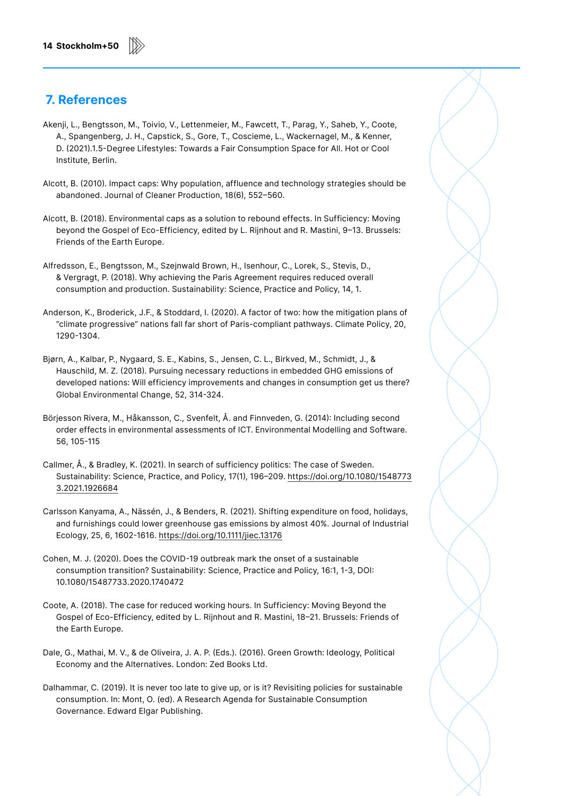### **7. References**

- Akenji, L., Bengtsson, M., Toivio, V., Lettenmeier, M., Fawcett, T., Parag, Y., Saheb, Y., Coote, A., Spangenberg, J. H., Capstick, S., Gore, T., Coscieme, L., Wackernagel, M., & Kenner, D. (2021).1.5-Degree Lifestyles: Towards a Fair Consumption Space for All. Hot or Cool Institute, Berlin.
- Alcott, B. (2010). Impact caps: Why population, affluence and technology strategies should be abandoned. Journal of Cleaner Production, 18(6), 552–560.
- Alcott, B. (2018). Environmental caps as a solution to rebound effects. In Sufficiency: Moving beyond the Gospel of Eco-Efficiency, edited by L. Rijnhout and R. Mastini, 9–13. Brussels: Friends of the Earth Europe.
- Alfredsson, E., Bengtsson, M., Szejnwald Brown, H., Isenhour, C., Lorek, S., Stevis, D., & Vergragt, P. (2018). Why achieving the Paris Agreement requires reduced overall consumption and production. Sustainability: Science, Practice and Policy, 14, 1.
- Anderson, K., Broderick, J.F., & Stoddard, I. (2020). A factor of two: how the mitigation plans of "climate progressive" nations fall far short of Paris-compliant pathways. Climate Policy, 20, 1290-1304.
- Bjørn, A., Kalbar, P., Nygaard, S. E., Kabins, S., Jensen, C. L., Birkved, M., Schmidt, J., & Hauschild, M. Z. (2018). Pursuing necessary reductions in embedded GHG emissions of developed nations: Will efficiency improvements and changes in consumption get us there? Global Environmental Change, 52, 314-324.
- Börjesson Rivera, M., Håkansson, C., Svenfelt, Å. and Finnveden, G. (2014): Including second order effects in environmental assessments of ICT. Environmental Modelling and Software. 56, 105-115
- Callmer, Å., & Bradley, K. (2021). In search of sufficiency politics: The case of Sweden. Sustainability: Science, Practice, and Policy, 17(1), 196–209. [https://doi.org/10.1080/1548773](https://doi.org/10.1080/15487733.2021.1926684) [3.2021.1926684](https://doi.org/10.1080/15487733.2021.1926684)
- Carlsson Kanyama, A., Nässén, J., & Benders, R. (2021). Shifting expenditure on food, holidays, and furnishings could lower greenhouse gas emissions by almost 40%. Journal of Industrial Ecology, 25, 6, 1602-1616.<https://doi.org/10.1111/jiec.13176>
- Cohen, M. J. (2020). Does the COVID-19 outbreak mark the onset of a sustainable consumption transition? Sustainability: Science, Practice and Policy, 16:1, 1-3, DOI: 10.1080/15487733.2020.1740472
- Coote, A. (2018). The case for reduced working hours. In Sufficiency: Moving Beyond the Gospel of Eco-Efficiency, edited by L. Rijnhout and R. Mastini, 18–21. Brussels: Friends of the Earth Europe.
- Dale, G., Mathai, M. V., & de Oliveira, J. A. P. (Eds.). (2016). Green Growth: Ideology, Political Economy and the Alternatives. London: Zed Books Ltd.
- Dalhammar, C. (2019). It is never too late to give up, or is it? Revisiting policies for sustainable consumption. In: Mont, O. (ed). A Research Agenda for Sustainable Consumption Governance. Edward Elgar Publishing.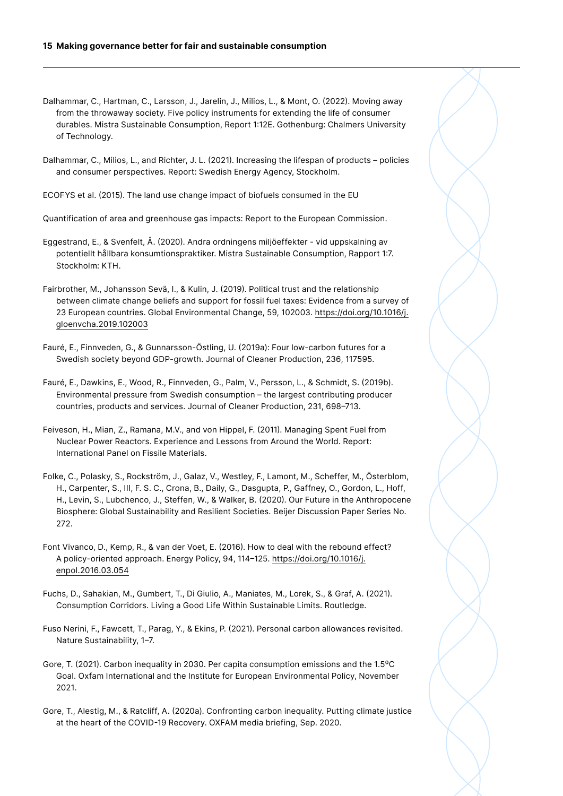- Dalhammar, C., Hartman, C., Larsson, J., Jarelin, J., Milios, L., & Mont, O. (2022). Moving away from the throwaway society. Five policy instruments for extending the life of consumer durables. Mistra Sustainable Consumption, Report 1:12E. Gothenburg: Chalmers University of Technology.
- Dalhammar, C., Milios, L., and Richter, J. L. (2021). Increasing the lifespan of products policies and consumer perspectives. Report: Swedish Energy Agency, Stockholm.
- ECOFYS et al. (2015). The land use change impact of biofuels consumed in the EU

Quantification of area and greenhouse gas impacts: Report to the European Commission.

- Eggestrand, E., & Svenfelt, Å. (2020). Andra ordningens miljöeffekter vid uppskalning av potentiellt hållbara konsumtionspraktiker. Mistra Sustainable Consumption, Rapport 1:7. Stockholm: KTH.
- Fairbrother, M., Johansson Sevä, I., & Kulin, J. (2019). Political trust and the relationship between climate change beliefs and support for fossil fuel taxes: Evidence from a survey of 23 European countries. Global Environmental Change, 59, 102003. [https://doi.org/10.1016/j.](https://doi.org/10.1016/j.gloenvcha.2019.102003) [gloenvcha.2019.102003](https://doi.org/10.1016/j.gloenvcha.2019.102003)
- Fauré, E., Finnveden, G., & Gunnarsson-Östling, U. (2019a): Four low-carbon futures for a Swedish society beyond GDP-growth. Journal of Cleaner Production, 236, 117595.
- Fauré, E., Dawkins, E., Wood, R., Finnveden, G., Palm, V., Persson, L., & Schmidt, S. (2019b). Environmental pressure from Swedish consumption – the largest contributing producer countries, products and services. Journal of Cleaner Production, 231, 698–713.
- Feiveson, H., Mian, Z., Ramana, M.V., and von Hippel, F. (2011). Managing Spent Fuel from Nuclear Power Reactors. Experience and Lessons from Around the World. Report: International Panel on Fissile Materials.
- Folke, C., Polasky, S., Rockström, J., Galaz, V., Westley, F., Lamont, M., Scheffer, M., Österblom, H., Carpenter, S., III, F. S. C., Crona, B., Daily, G., Dasgupta, P., Gaffney, O., Gordon, L., Hoff, H., Levin, S., Lubchenco, J., Steffen, W., & Walker, B. (2020). Our Future in the Anthropocene Biosphere: Global Sustainability and Resilient Societies. Beijer Discussion Paper Series No. 272.
- Font Vivanco, D., Kemp, R., & van der Voet, E. (2016). How to deal with the rebound effect? A policy-oriented approach. Energy Policy, 94, 114–125. [https://doi.org/10.1016/j.](https://doi.org/10.1016/j.enpol.2016.03.054) [enpol.2016.03.054](https://doi.org/10.1016/j.enpol.2016.03.054)
- Fuchs, D., Sahakian, M., Gumbert, T., Di Giulio, A., Maniates, M., Lorek, S., & Graf, A. (2021). Consumption Corridors. Living a Good Life Within Sustainable Limits. Routledge.
- Fuso Nerini, F., Fawcett, T., Parag, Y., & Ekins, P. (2021). Personal carbon allowances revisited. Nature Sustainability, 1–7.
- Gore, T. (2021). Carbon inequality in 2030. Per capita consumption emissions and the 1.5°C Goal. Oxfam International and the Institute for European Environmental Policy, November 2021.
- Gore, T., Alestig, M., & Ratcliff, A. (2020a). Confronting carbon inequality. Putting climate justice at the heart of the COVID-19 Recovery. OXFAM media briefing, Sep. 2020.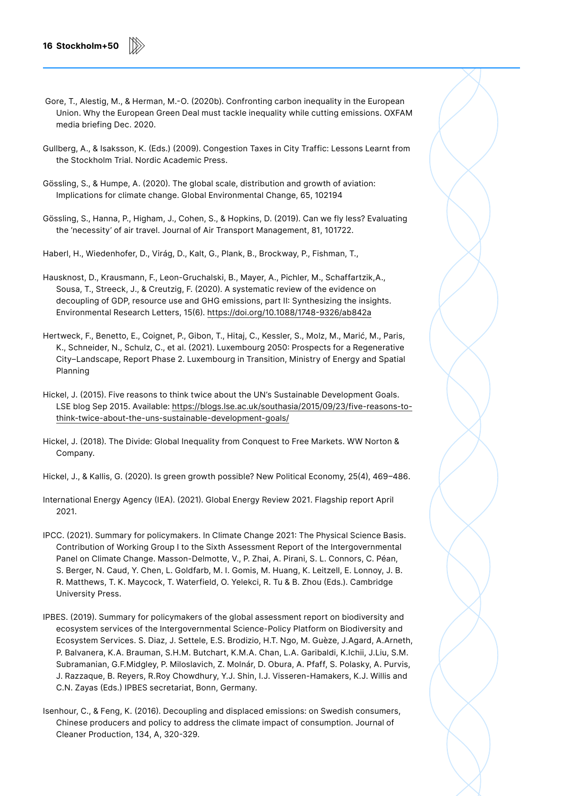- Gore, T., Alestig, M., & Herman, M.-O. (2020b). Confronting carbon inequality in the European Union. Why the European Green Deal must tackle inequality while cutting emissions. OXFAM media briefing Dec. 2020.
- Gullberg, A., & Isaksson, K. (Eds.) (2009). Congestion Taxes in City Traffic: Lessons Learnt from the Stockholm Trial. Nordic Academic Press.
- Gössling, S., & Humpe, A. (2020). The global scale, distribution and growth of aviation: Implications for climate change. Global Environmental Change, 65, 102194
- Gössling, S., Hanna, P., Higham, J., Cohen, S., & Hopkins, D. (2019). Can we fly less? Evaluating the 'necessity' of air travel. Journal of Air Transport Management, 81, 101722.

Haberl, H., Wiedenhofer, D., Virág, D., Kalt, G., Plank, B., Brockway, P., Fishman, T.,

- Hausknost, D., Krausmann, F., Leon-Gruchalski, B., Mayer, A., Pichler, M., Schaffartzik,A., Sousa, T., Streeck, J., & Creutzig, F. (2020). A systematic review of the evidence on decoupling of GDP, resource use and GHG emissions, part II: Synthesizing the insights. Environmental Research Letters, 15(6).<https://doi.org/10.1088/1748-9326/ab842a>
- Hertweck, F., Benetto, E., Coignet, P., Gibon, T., Hitaj, C., Kessler, S., Molz, M., Marić, M., Paris, K., Schneider, N., Schulz, C., et al. (2021). Luxembourg 2050: Prospects for a Regenerative City–Landscape, Report Phase 2. Luxembourg in Transition, Ministry of Energy and Spatial Planning
- Hickel, J. (2015). Five reasons to think twice about the UN's Sustainable Development Goals. LSE blog Sep 2015. Available: [https://blogs.lse.ac.uk/southasia/2015/09/23/five-reasons-to](https://blogs.lse.ac.uk/southasia/2015/09/23/five-reasons-to-think-twice-about-the-uns-sustainable-development-goals/)[think-twice-about-the-uns-sustainable-development-goals/](https://blogs.lse.ac.uk/southasia/2015/09/23/five-reasons-to-think-twice-about-the-uns-sustainable-development-goals/)
- Hickel, J. (2018). The Divide: Global Inequality from Conquest to Free Markets. WW Norton & Company.
- Hickel, J., & Kallis, G. (2020). Is green growth possible? New Political Economy, 25(4), 469–486.
- International Energy Agency (IEA). (2021). Global Energy Review 2021. Flagship report April 2021.
- IPCC. (2021). Summary for policymakers. In Climate Change 2021: The Physical Science Basis. Contribution of Working Group I to the Sixth Assessment Report of the Intergovernmental Panel on Climate Change. Masson-Delmotte, V., P. Zhai, A. Pirani, S. L. Connors, C. Péan, S. Berger, N. Caud, Y. Chen, L. Goldfarb, M. I. Gomis, M. Huang, K. Leitzell, E. Lonnoy, J. B. R. Matthews, T. K. Maycock, T. Waterfield, O. Yelekci, R. Tu & B. Zhou (Eds.). Cambridge University Press.
- IPBES. (2019). Summary for policymakers of the global assessment report on biodiversity and ecosystem services of the Intergovernmental Science-Policy Platform on Biodiversity and Ecosystem Services. S. Diaz, J. Settele, E.S. Brodizio, H.T. Ngo, M. Guèze, J.Agard, A.Arneth, P. Balvanera, K.A. Brauman, S.H.M. Butchart, K.M.A. Chan, L.A. Garibaldi, K.Ichii, J.Liu, S.M. Subramanian, G.F.Midgley, P. Miloslavich, Z. Molnár, D. Obura, A. Pfaff, S. Polasky, A. Purvis, J. Razzaque, B. Reyers, R.Roy Chowdhury, Y.J. Shin, I.J. Visseren-Hamakers, K.J. Willis and C.N. Zayas (Eds.) IPBES secretariat, Bonn, Germany.
- Isenhour, C., & Feng, K. (2016). Decoupling and displaced emissions: on Swedish consumers, Chinese producers and policy to address the climate impact of consumption. Journal of Cleaner Production, 134, A, 320-329.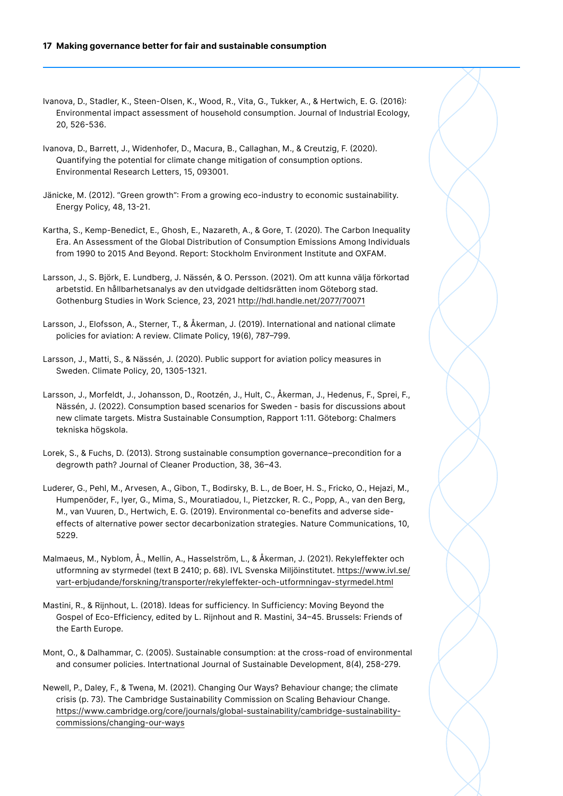- Ivanova, D., Stadler, K., Steen-Olsen, K., Wood, R., Vita, G., Tukker, A., & Hertwich, E. G. (2016): Environmental impact assessment of household consumption. Journal of Industrial Ecology, 20, 526-536.
- Ivanova, D., Barrett, J., Widenhofer, D., Macura, B., Callaghan, M., & Creutzig, F. (2020). Quantifying the potential for climate change mitigation of consumption options. Environmental Research Letters, 15, 093001.
- Jänicke, M. (2012). "Green growth": From a growing eco-industry to economic sustainability. Energy Policy, 48, 13-21.
- Kartha, S., Kemp-Benedict, E., Ghosh, E., Nazareth, A., & Gore, T. (2020). The Carbon Inequality Era. An Assessment of the Global Distribution of Consumption Emissions Among Individuals from 1990 to 2015 And Beyond. Report: Stockholm Environment Institute and OXFAM.
- Larsson, J., S. Björk, E. Lundberg, J. Nässén, & O. Persson. (2021). Om att kunna välja förkortad arbetstid. En hållbarhetsanalys av den utvidgade deltidsrätten inom Göteborg stad. Gothenburg Studies in Work Science, 23, 2021 <http://hdl.handle.net/2077/70071>
- Larsson, J., Elofsson, A., Sterner, T., & Åkerman, J. (2019). International and national climate policies for aviation: A review. Climate Policy, 19(6), 787–799.
- Larsson, J., Matti, S., & Nässén, J. (2020). Public support for aviation policy measures in Sweden. Climate Policy, 20, 1305-1321.
- Larsson, J., Morfeldt, J., Johansson, D., Rootzén, J., Hult, C., Åkerman, J., Hedenus, F., Sprei, F., Nässén, J. (2022). Consumption based scenarios for Sweden - basis for discussions about new climate targets. Mistra Sustainable Consumption, Rapport 1:11. Göteborg: Chalmers tekniska högskola.
- Lorek, S., & Fuchs, D. (2013). Strong sustainable consumption governance–precondition for a degrowth path? Journal of Cleaner Production, 38, 36–43.
- Luderer, G., Pehl, M., Arvesen, A., Gibon, T., Bodirsky, B. L., de Boer, H. S., Fricko, O., Hejazi, M., Humpenöder, F., Iyer, G., Mima, S., Mouratiadou, I., Pietzcker, R. C., Popp, A., van den Berg, M., van Vuuren, D., Hertwich, E. G. (2019). Environmental co-benefits and adverse sideeffects of alternative power sector decarbonization strategies. Nature Communications, 10, 5229.
- Malmaeus, M., Nyblom, Å., Mellin, A., Hasselström, L., & Åkerman, J. (2021). Rekyleffekter och utformning av styrmedel (text B 2410; p. 68). IVL Svenska Miljöinstitutet. [https://www.ivl.se/](https://www.ivl.se/vart-erbjudande/forskning/transporter/rekyleffekter-och-utformningav-styrmedel.html) [vart-erbjudande/forskning/transporter/rekyleffekter-och-utformningav-styrmedel.html](https://www.ivl.se/vart-erbjudande/forskning/transporter/rekyleffekter-och-utformningav-styrmedel.html)
- Mastini, R., & Rijnhout, L. (2018). Ideas for sufficiency. In Sufficiency: Moving Beyond the Gospel of Eco-Efficiency, edited by L. Rijnhout and R. Mastini, 34–45. Brussels: Friends of the Earth Europe.
- Mont, O., & Dalhammar, C. (2005). Sustainable consumption: at the cross-road of environmental and consumer policies. Intertnational Journal of Sustainable Development, 8(4), 258-279.
- Newell, P., Daley, F., & Twena, M. (2021). Changing Our Ways? Behaviour change; the climate crisis (p. 73). The Cambridge Sustainability Commission on Scaling Behaviour Change. [https://www.cambridge.org/core/journals/global-sustainability/cambridge-sustainability](https://www.cambridge.org/core/journals/global-sustainability/cambridge-sustainability-commissions/changing-our-ways)[commissions/changing-our-ways](https://www.cambridge.org/core/journals/global-sustainability/cambridge-sustainability-commissions/changing-our-ways)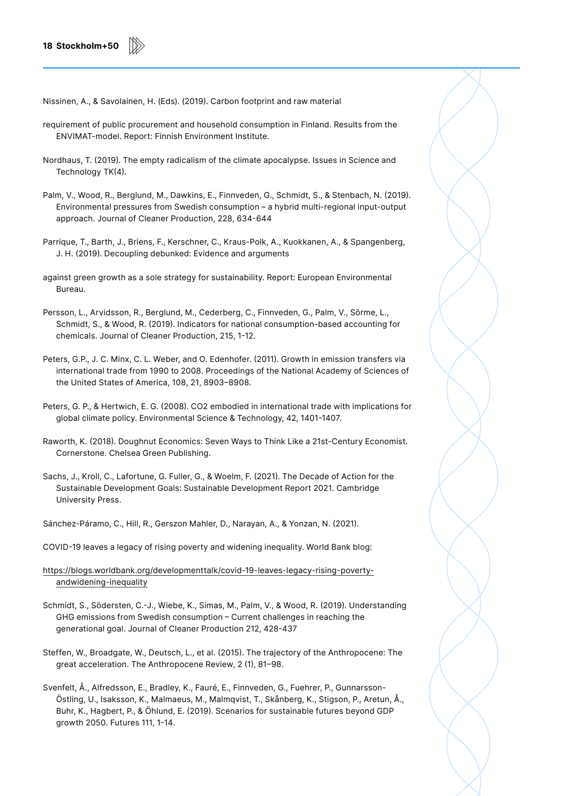Nissinen, A., & Savolainen, H. (Eds). (2019). Carbon footprint and raw material

- requirement of public procurement and household consumption in Finland. Results from the ENVIMAT-model. Report: Finnish Environment Institute.
- Nordhaus, T. (2019). The empty radicalism of the climate apocalypse. Issues in Science and Technology TK(4).
- Palm, V., Wood, R., Berglund, M., Dawkins, E., Finnveden, G., Schmidt, S., & Stenbach, N. (2019). Environmental pressures from Swedish consumption – a hybrid multi-regional input-output approach. Journal of Cleaner Production, 228, 634-644
- Parrique, T., Barth, J., Briens, F., Kerschner, C., Kraus-Polk, A., Kuokkanen, A., & Spangenberg, J. H. (2019). Decoupling debunked: Evidence and arguments
- against green growth as a sole strategy for sustainability. Report: European Environmental Bureau.
- Persson, L., Arvidsson, R., Berglund, M., Cederberg, C., Finnveden, G., Palm, V., Sörme, L., Schmidt, S., & Wood, R. (2019). Indicators for national consumption-based accounting for chemicals. Journal of Cleaner Production, 215, 1-12.
- Peters, G.P., J. C. Minx, C. L. Weber, and O. Edenhofer. (2011). Growth in emission transfers via international trade from 1990 to 2008. Proceedings of the National Academy of Sciences of the United States of America, 108, 21, 8903–8908.
- Peters, G. P., & Hertwich, E. G. (2008). CO2 embodied in international trade with implications for global climate policy. Environmental Science & Technology, 42, 1401-1407.
- Raworth, K. (2018). Doughnut Economics: Seven Ways to Think Like a 21st-Century Economist. Cornerstone. Chelsea Green Publishing.
- Sachs, J., Kroll, C., Lafortune, G. Fuller, G., & Woelm, F. (2021). The Decade of Action for the Sustainable Development Goals: Sustainable Development Report 2021. Cambridge University Press.
- Sánchez-Páramo, C., Hill, R., Gerszon Mahler, D., Narayan, A., & Yonzan, N. (2021).
- COVID-19 leaves a legacy of rising poverty and widening inequality. World Bank blog:
- [https://blogs.worldbank.org/developmenttalk/covid-19-leaves-legacy-rising-poverty](https://blogs.worldbank.org/developmenttalk/covid-19-leaves-legacy-rising-poverty-andwidening-inequality)[andwidening-inequality](https://blogs.worldbank.org/developmenttalk/covid-19-leaves-legacy-rising-poverty-andwidening-inequality)
- Schmidt, S., Södersten, C.-J., Wiebe, K., Simas, M., Palm, V., & Wood, R. (2019). Understanding GHG emissions from Swedish consumption – Current challenges in reaching the generational goal. Journal of Cleaner Production 212, 428-437
- Steffen, W., Broadgate, W., Deutsch, L., et al. (2015). The trajectory of the Anthropocene: The great acceleration. The Anthropocene Review, 2 (1), 81–98.
- Svenfelt, Å., Alfredsson, E., Bradley, K., Fauré, E., Finnveden, G., Fuehrer, P., Gunnarsson-Östling, U., Isaksson, K., Malmaeus, M., Malmqvist, T., Skånberg, K., Stigson, P., Aretun, Å., Buhr, K., Hagbert, P., & Öhlund, E. (2019). Scenarios for sustainable futures beyond GDP growth 2050. Futures 111, 1-14.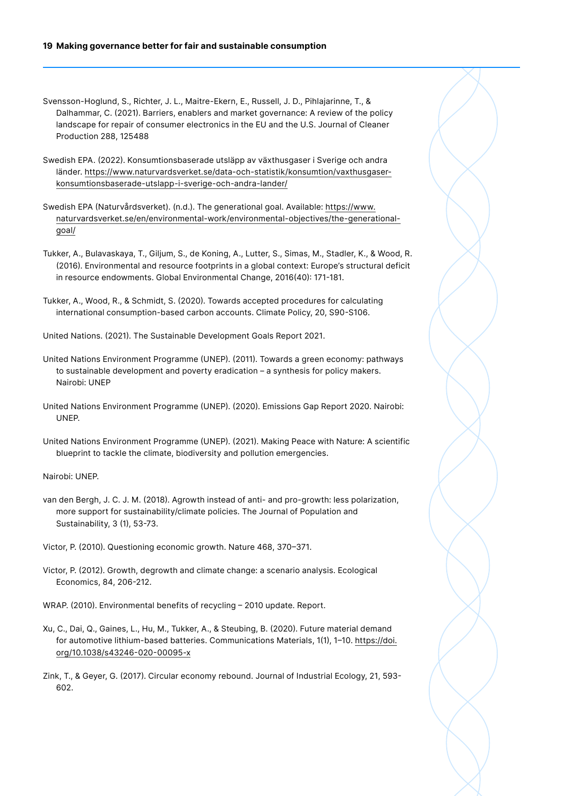#### **19 Making governance better for fair and sustainable consumption**

- Svensson-Hoglund, S., Richter, J. L., Maitre-Ekern, E., Russell, J. D., Pihlajarinne, T., & Dalhammar, C. (2021). Barriers, enablers and market governance: A review of the policy landscape for repair of consumer electronics in the EU and the U.S. Journal of Cleaner Production 288, 125488
- Swedish EPA. (2022). Konsumtionsbaserade utsläpp av växthusgaser i Sverige och andra länder. [https://www.naturvardsverket.se/data-och-statistik/konsumtion/vaxthusgaser](https://www.naturvardsverket.se/data-och-statistik/konsumtion/vaxthusgaser-konsumtionsbaserade-utslapp-i-sverige-och-andra-lander/)[konsumtionsbaserade-utslapp-i-sverige-och-andra-lander/](https://www.naturvardsverket.se/data-och-statistik/konsumtion/vaxthusgaser-konsumtionsbaserade-utslapp-i-sverige-och-andra-lander/)
- Swedish EPA (Naturvårdsverket). (n.d.). The generational goal. Available: [https://www.](https://www.naturvardsverket.se/en/environmental-work/environmental-objectives/the-generational-goal/) [naturvardsverket.se/en/environmental-work/environmental-objectives/the-generational](https://www.naturvardsverket.se/en/environmental-work/environmental-objectives/the-generational-goal/)[goal/](https://www.naturvardsverket.se/en/environmental-work/environmental-objectives/the-generational-goal/)
- Tukker, A., Bulavaskaya, T., Giljum, S., de Koning, A., Lutter, S., Simas, M., Stadler, K., & Wood, R. (2016). Environmental and resource footprints in a global context: Europe's structural deficit in resource endowments. Global Environmental Change, 2016(40): 171-181.
- Tukker, A., Wood, R., & Schmidt, S. (2020). Towards accepted procedures for calculating international consumption-based carbon accounts. Climate Policy, 20, S90-S106.
- United Nations. (2021). The Sustainable Development Goals Report 2021.
- United Nations Environment Programme (UNEP). (2011). Towards a green economy: pathways to sustainable development and poverty eradication – a synthesis for policy makers. Nairobi: UNEP
- United Nations Environment Programme (UNEP). (2020). Emissions Gap Report 2020. Nairobi: UNEP.
- United Nations Environment Programme (UNEP). (2021). Making Peace with Nature: A scientific blueprint to tackle the climate, biodiversity and pollution emergencies.

Nairobi: UNEP.

- van den Bergh, J. C. J. M. (2018). Agrowth instead of anti- and pro-growth: less polarization, more support for sustainability/climate policies. The Journal of Population and Sustainability, 3 (1), 53-73.
- Victor, P. (2010). Questioning economic growth. Nature 468, 370–371.
- Victor, P. (2012). Growth, degrowth and climate change: a scenario analysis. Ecological Economics, 84, 206-212.
- WRAP. (2010). Environmental benefits of recycling 2010 update. Report.
- Xu, C., Dai, Q., Gaines, L., Hu, M., Tukker, A., & Steubing, B. (2020). Future material demand for automotive lithium-based batteries. Communications Materials, 1(1), 1–10. [https://doi.](https://doi.org/10.1038/s43246-020-00095-x) [org/10.1038/s43246-020-00095-x](https://doi.org/10.1038/s43246-020-00095-x)
- Zink, T., & Geyer, G. (2017). Circular economy rebound. Journal of Industrial Ecology, 21, 593- 602.